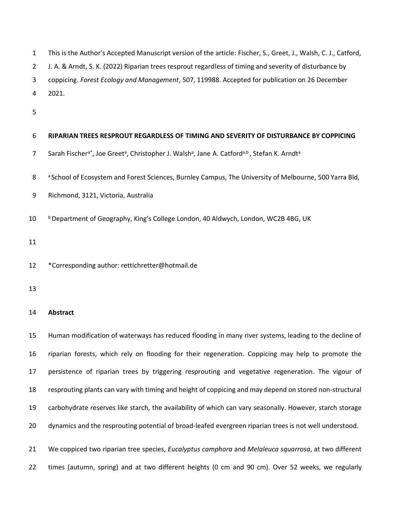| $\mathbf{1}$   | This is the Author's Accepted Manuscript version of the article: Fischer, S., Greet, J., Walsh, C. J., Catford,                                          |
|----------------|----------------------------------------------------------------------------------------------------------------------------------------------------------|
| $\overline{2}$ | J. A. & Arndt, S. K. (2022) Riparian trees resprout regardless of timing and severity of disturbance by                                                  |
| 3              | coppicing. Forest Ecology and Management, 507, 119988. Accepted for publication on 26 December                                                           |
| 4              | 2021.                                                                                                                                                    |
| 5              |                                                                                                                                                          |
| 6              | RIPARIAN TREES RESPROUT REGARDLESS OF TIMING AND SEVERITY OF DISTURBANCE BY COPPICING                                                                    |
| 7              | Sarah Fischer <sup>a*</sup> , Joe Greet <sup>a</sup> , Christopher J. Walsh <sup>a</sup> , Jane A. Catford <sup>a,b</sup> , Stefan K. Arndt <sup>a</sup> |
| 8              | <sup>a</sup> School of Ecosystem and Forest Sciences, Burnley Campus, The University of Melbourne, 500 Yarra Bld,                                        |
| 9              | Richmond, 3121, Victoria, Australia                                                                                                                      |
| 10             | <sup>b</sup> Department of Geography, King's College London, 40 Aldwych, London, WC2B 4BG, UK                                                            |
| 11             |                                                                                                                                                          |
| 12             | *Corresponding author: rettichretter@hotmail.de                                                                                                          |
| 13             |                                                                                                                                                          |
| 14             | <b>Abstract</b>                                                                                                                                          |

 Human modification of waterways has reduced flooding in many river systems, leading to the decline of riparian forests, which rely on flooding for their regeneration. Coppicing may help to promote the persistence of riparian trees by triggering resprouting and vegetative regeneration. The vigour of resprouting plants can vary with timing and height of coppicing and may depend on stored non-structural carbohydrate reserves like starch, the availability of which can vary seasonally. However, starch storage 20 dynamics and the resprouting potential of broad-leafed evergreen riparian trees is not well understood. We coppiced two riparian tree species, *Eucalyptus camphora* and *Melaleuca squarrosa*, at two different

times (autumn, spring) and at two different heights (0 cm and 90 cm). Over 52 weeks, we regularly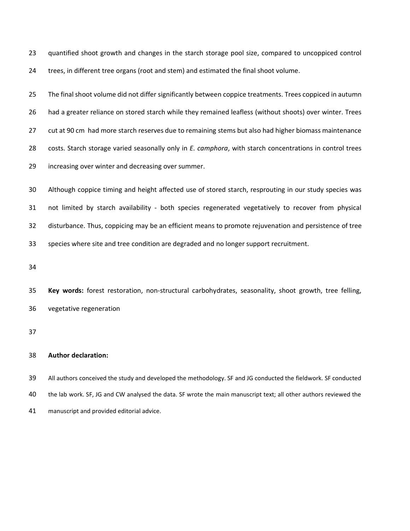quantified shoot growth and changes in the starch storage pool size, compared to uncoppiced control trees, in different tree organs (root and stem) and estimated the final shoot volume.

 The final shoot volume did not differ significantly between coppice treatments. Trees coppiced in autumn had a greater reliance on stored starch while they remained leafless (without shoots) over winter. Trees cut at 90 cm had more starch reserves due to remaining stems but also had higher biomass maintenance costs. Starch storage varied seasonally only in *E. camphora*, with starch concentrations in control trees increasing over winter and decreasing over summer.

 Although coppice timing and height affected use of stored starch, resprouting in our study species was not limited by starch availability - both species regenerated vegetatively to recover from physical disturbance. Thus, coppicing may be an efficient means to promote rejuvenation and persistence of tree species where site and tree condition are degraded and no longer support recruitment.

 **Key words:** forest restoration, non-structural carbohydrates, seasonality, shoot growth, tree felling, vegetative regeneration

## **Author declaration:**

 All authors conceived the study and developed the methodology. SF and JG conducted the fieldwork. SF conducted the lab work. SF, JG and CW analysed the data. SF wrote the main manuscript text; all other authors reviewed the manuscript and provided editorial advice.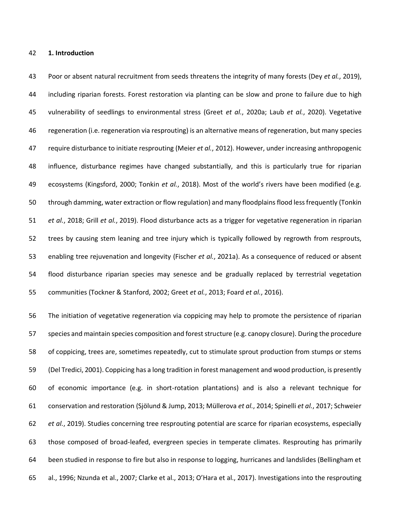### **1. Introduction**

 Poor or absent natural recruitment from seeds threatens the integrity of many forests (Dey *et al.*, 2019), including riparian forests. Forest restoration via planting can be slow and prone to failure due to high vulnerability of seedlings to environmental stress (Greet *et al.*, 2020a; Laub *et al.*, 2020). Vegetative regeneration (i.e. regeneration via resprouting) is an alternative means of regeneration, but many species require disturbance to initiate resprouting (Meier *et al.*, 2012). However, under increasing anthropogenic influence, disturbance regimes have changed substantially, and this is particularly true for riparian ecosystems (Kingsford, 2000; Tonkin *et al.*, 2018). Most of the world's rivers have been modified (e.g. through damming, water extraction or flow regulation) and many floodplains flood less frequently (Tonkin *et al.*, 2018; Grill *et al.*, 2019). Flood disturbance acts as a trigger for vegetative regeneration in riparian trees by causing stem leaning and tree injury which is typically followed by regrowth from resprouts, enabling tree rejuvenation and longevity (Fischer *et al.*, 2021a). As a consequence of reduced or absent flood disturbance riparian species may senesce and be gradually replaced by terrestrial vegetation communities (Tockner & Stanford, 2002; Greet *et al.*, 2013; Foard *et al.*, 2016).

 The initiation of vegetative regeneration via coppicing may help to promote the persistence of riparian species and maintain species composition and forest structure (e.g. canopy closure). During the procedure of coppicing, trees are, sometimes repeatedly, cut to stimulate sprout production from stumps or stems (Del Tredici, 2001). Coppicing has a long tradition in forest management and wood production, is presently of economic importance (e.g. in short-rotation plantations) and is also a relevant technique for conservation and restoration (Sjölund & Jump, 2013; Müllerova *et al.*, 2014; Spinelli *et al.*, 2017; Schweier *et al.*, 2019). Studies concerning tree resprouting potential are scarce for riparian ecosystems, especially those composed of broad-leafed, evergreen species in temperate climates. Resprouting has primarily been studied in response to fire but also in response to logging, hurricanes and landslides (Bellingham et al., 1996; Nzunda et al., 2007; Clarke et al., 2013; O'Hara et al., 2017). Investigations into the resprouting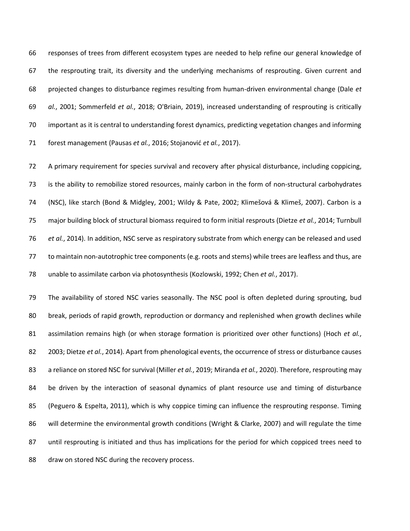responses of trees from different ecosystem types are needed to help refine our general knowledge of the resprouting trait, its diversity and the underlying mechanisms of resprouting. Given current and projected changes to disturbance regimes resulting from human-driven environmental change (Dale *et al.*, 2001; Sommerfeld *et al.*, 2018; O'Briain, 2019), increased understanding of resprouting is critically important as it is central to understanding forest dynamics, predicting vegetation changes and informing forest management (Pausas *et al.*, 2016; Stojanović *et al.*, 2017).

 A primary requirement for species survival and recovery after physical disturbance, including coppicing, is the ability to remobilize stored resources, mainly carbon in the form of non-structural carbohydrates (NSC), like starch (Bond & Midgley, 2001; Wildy & Pate, 2002; Klimešová & Klimeš, 2007). Carbon is a major building block of structural biomass required to form initial resprouts (Dietze *et al.*, 2014; Turnbull *et al.*, 2014). In addition, NSC serve as respiratory substrate from which energy can be released and used to maintain non-autotrophic tree components (e.g. roots and stems) while trees are leafless and thus, are unable to assimilate carbon via photosynthesis (Kozlowski, 1992; Chen *et al.*, 2017).

 The availability of stored NSC varies seasonally. The NSC pool is often depleted during sprouting, bud break, periods of rapid growth, reproduction or dormancy and replenished when growth declines while assimilation remains high (or when storage formation is prioritized over other functions) (Hoch *et al.*, 2003; Dietze *et al.*, 2014). Apart from phenological events, the occurrence of stress or disturbance causes a reliance on stored NSC for survival (Miller *et al.*, 2019; Miranda *et al.*, 2020). Therefore, resprouting may be driven by the interaction of seasonal dynamics of plant resource use and timing of disturbance (Peguero & Espelta, 2011), which is why coppice timing can influence the resprouting response. Timing will determine the environmental growth conditions (Wright & Clarke, 2007) and will regulate the time until resprouting is initiated and thus has implications for the period for which coppiced trees need to 88 draw on stored NSC during the recovery process.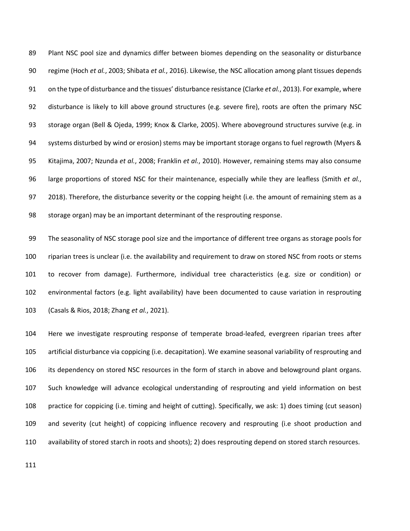Plant NSC pool size and dynamics differ between biomes depending on the seasonality or disturbance regime (Hoch *et al.*, 2003; Shibata *et al.*, 2016). Likewise, the NSC allocation among plant tissues depends on the type of disturbance and the tissues' disturbance resistance (Clarke *et al.*, 2013). For example, where disturbance is likely to kill above ground structures (e.g. severe fire), roots are often the primary NSC storage organ (Bell & Ojeda, 1999; Knox & Clarke, 2005). Where aboveground structures survive (e.g. in systems disturbed by wind or erosion) stems may be important storage organs to fuel regrowth (Myers & Kitajima, 2007; Nzunda *et al.*, 2008; Franklin *et al.*, 2010). However, remaining stems may also consume large proportions of stored NSC for their maintenance, especially while they are leafless (Smith *et al.*, 2018). Therefore, the disturbance severity or the copping height (i.e. the amount of remaining stem as a storage organ) may be an important determinant of the resprouting response.

 The seasonality of NSC storage pool size and the importance of different tree organs as storage pools for riparian trees is unclear (i.e. the availability and requirement to draw on stored NSC from roots or stems to recover from damage). Furthermore, individual tree characteristics (e.g. size or condition) or environmental factors (e.g. light availability) have been documented to cause variation in resprouting (Casals & Rios, 2018; Zhang *et al.*, 2021).

 Here we investigate resprouting response of temperate broad-leafed, evergreen riparian trees after artificial disturbance via coppicing (i.e. decapitation). We examine seasonal variability of resprouting and its dependency on stored NSC resources in the form of starch in above and belowground plant organs. Such knowledge will advance ecological understanding of resprouting and yield information on best practice for coppicing (i.e. timing and height of cutting). Specifically, we ask: 1) does timing (cut season) and severity (cut height) of coppicing influence recovery and resprouting (i.e shoot production and availability of stored starch in roots and shoots); 2) does resprouting depend on stored starch resources.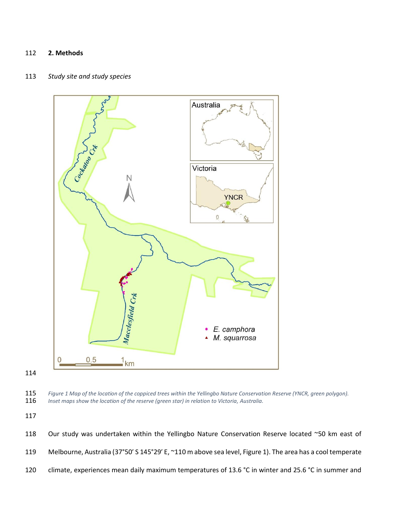# **2. Methods**

# *Study site and study species*



<span id="page-5-0"></span> *Figure 1 Map of the location of the coppiced trees within the Yellingbo Nature Conservation Reserve (YNCR, green polygon). Inset maps show the location of the reserve (green star) in relation to Victoria, Australia.*

118 Our study was undertaken within the Yellingbo Nature Conservation Reserve located ~50 km east of Melbourne, Australia (37°50′ S 145°29′ E, ~110 m above sea level, [Figure 1\)](#page-5-0). The area has a cool temperate climate, experiences mean daily maximum temperatures of 13.6 °C in winter and 25.6 °C in summer and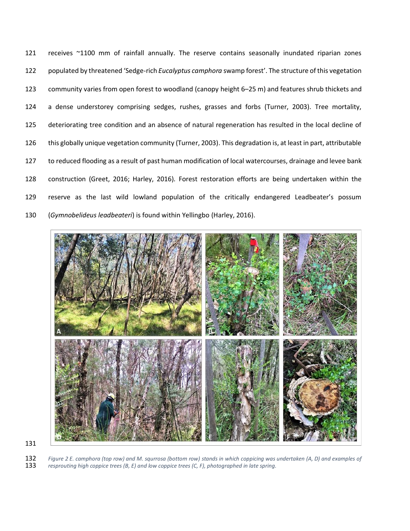receives ~1100 mm of rainfall annually. The reserve contains seasonally inundated riparian zones populated by threatened 'Sedge-rich *Eucalyptus camphora* swamp forest'. The structure of this vegetation community varies from open forest to woodland (canopy height 6–25 m) and features shrub thickets and a dense understorey comprising sedges, rushes, grasses and forbs (Turner, 2003). Tree mortality, deteriorating tree condition and an absence of natural regeneration has resulted in the local decline of this globally unique vegetation community (Turner, 2003). This degradation is, at least in part, attributable to reduced flooding as a result of past human modification of local watercourses, drainage and levee bank construction (Greet, 2016; Harley, 2016)*.* Forest restoration efforts are being undertaken within the reserve as the last wild lowland population of the critically endangered Leadbeater's possum (*Gymnobelideus leadbeateri*) is found within Yellingbo (Harley, 2016).





<span id="page-6-0"></span> *Figure 2 E. camphora (top row) and M. squrrosa (bottom row) stands in which coppicing was undertaken (A, D) and examples of resprouting high coppice trees (B, E) and low coppice trees (C, F), photographed in late spring.*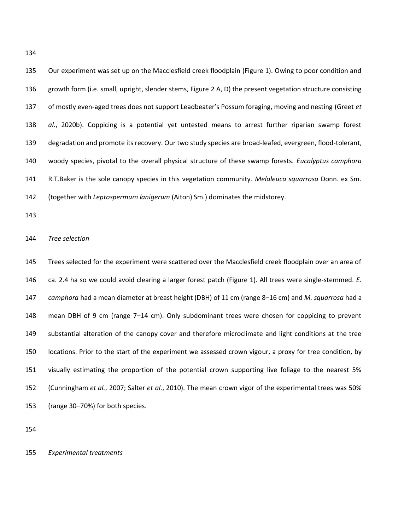Our experiment was set up on the Macclesfield creek floodplain [\(Figure 1\)](#page-5-0). Owing to poor condition and growth form (i.e. small, upright, slender stems, [Figure 2](#page-6-0) A, D) the present vegetation structure consisting of mostly even-aged trees does not support Leadbeater's Possum foraging, moving and nesting (Greet *et al.*, 2020b). Coppicing is a potential yet untested means to arrest further riparian swamp forest degradation and promote its recovery. Our two study species are broad-leafed, evergreen, flood-tolerant, woody species, pivotal to the overall physical structure of these swamp forests. *Eucalyptus camphora*  R.T.Baker is the sole canopy species in this vegetation community. *Melaleuca squarrosa* Donn. ex Sm. (together with *Leptospermum lanigerum* (Aiton) Sm.) dominates the midstorey.

#### *Tree selection*

 Trees selected for the experiment were scattered over the Macclesfield creek floodplain over an area of ca. 2.4 ha so we could avoid clearing a larger forest patch [\(Figure 1\)](#page-5-0). All trees were single-stemmed. *E. camphora* had a mean diameter at breast height (DBH) of 11 cm (range 8–16 cm) and *M. squarrosa* had a mean DBH of 9 cm (range 7–14 cm). Only subdominant trees were chosen for coppicing to prevent substantial alteration of the canopy cover and therefore microclimate and light conditions at the tree locations. Prior to the start of the experiment we assessed crown vigour, a proxy for tree condition, by visually estimating the proportion of the potential crown supporting live foliage to the nearest 5% (Cunningham *et al.*, 2007; Salter *et al.*, 2010). The mean crown vigor of the experimental trees was 50% (range 30–70%) for both species.

### *Experimental treatments*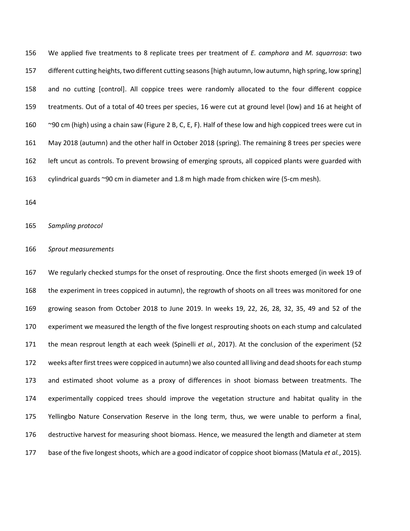We applied five treatments to 8 replicate trees per treatment of *E. camphora* and *M. squarrosa*: two different cutting heights, two different cutting seasons [high autumn, low autumn, high spring, low spring] and no cutting [control]. All coppice trees were randomly allocated to the four different coppice treatments. Out of a total of 40 trees per species, 16 were cut at ground level (low) and 16 at height of 160 ~90 cm (high) using a chain saw [\(Figure 2](#page-6-0) B, C, E, F). Half of these low and high coppiced trees were cut in May 2018 (autumn) and the other half in October 2018 (spring). The remaining 8 trees per species were left uncut as controls. To prevent browsing of emerging sprouts, all coppiced plants were guarded with cylindrical guards ~90 cm in diameter and 1.8 m high made from chicken wire (5-cm mesh).

#### *Sampling protocol*

#### *Sprout measurements*

 We regularly checked stumps for the onset of resprouting. Once the first shoots emerged (in week 19 of the experiment in trees coppiced in autumn), the regrowth of shoots on all trees was monitored for one growing season from October 2018 to June 2019. In weeks 19, 22, 26, 28, 32, 35, 49 and 52 of the experiment we measured the length of the five longest resprouting shoots on each stump and calculated the mean resprout length at each week (Spinelli *et al.*, 2017). At the conclusion of the experiment (52 weeks after first trees were coppiced in autumn) we also counted all living and dead shoots for each stump and estimated shoot volume as a proxy of differences in shoot biomass between treatments. The experimentally coppiced trees should improve the vegetation structure and habitat quality in the Yellingbo Nature Conservation Reserve in the long term, thus, we were unable to perform a final, destructive harvest for measuring shoot biomass. Hence, we measured the length and diameter at stem base of the five longest shoots, which are a good indicator of coppice shoot biomass (Matula *et al.*, 2015).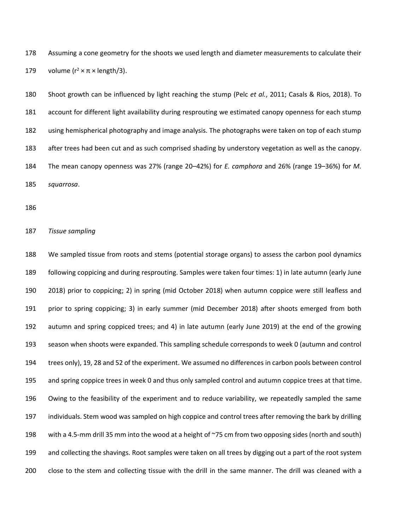Assuming a cone geometry for the shoots we used length and diameter measurements to calculate their 179 volume ( $r^2 \times \pi \times$  length/3).

 Shoot growth can be influenced by light reaching the stump (Pelc *et al.*, 2011; Casals & Rios, 2018). To account for different light availability during resprouting we estimated canopy openness for each stump using hemispherical photography and image analysis. The photographs were taken on top of each stump after trees had been cut and as such comprised shading by understory vegetation as well as the canopy. The mean canopy openness was 27% (range 20–42%) for *E. camphora* and 26% (range 19–36%) for *M. squarrosa*.

## *Tissue sampling*

 We sampled tissue from roots and stems (potential storage organs) to assess the carbon pool dynamics following coppicing and during resprouting. Samples were taken four times: 1) in late autumn (early June 2018) prior to coppicing; 2) in spring (mid October 2018) when autumn coppice were still leafless and prior to spring coppicing; 3) in early summer (mid December 2018) after shoots emerged from both autumn and spring coppiced trees; and 4) in late autumn (early June 2019) at the end of the growing season when shoots were expanded. This sampling schedule corresponds to week 0 (autumn and control trees only), 19, 28 and 52 of the experiment. We assumed no differences in carbon pools between control and spring coppice trees in week 0 and thus only sampled control and autumn coppice trees at that time. Owing to the feasibility of the experiment and to reduce variability, we repeatedly sampled the same individuals. Stem wood was sampled on high coppice and control trees after removing the bark by drilling with a 4.5-mm drill 35 mm into the wood at a height of ~75 cm from two opposing sides (north and south) and collecting the shavings. Root samples were taken on all trees by digging out a part of the root system close to the stem and collecting tissue with the drill in the same manner. The drill was cleaned with a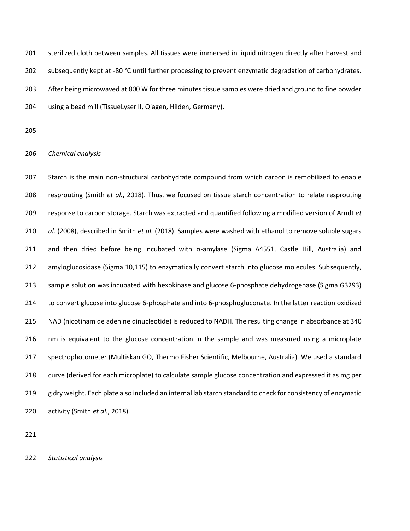sterilized cloth between samples. All tissues were immersed in liquid nitrogen directly after harvest and 202 subsequently kept at -80 °C until further processing to prevent enzymatic degradation of carbohydrates. After being microwaved at 800 W for three minutes tissue samples were dried and ground to fine powder using a bead mill (TissueLyser II, Qiagen, Hilden, Germany).

## *Chemical analysis*

 Starch is the main non-structural carbohydrate compound from which carbon is remobilized to enable resprouting (Smith *et al.*, 2018). Thus, we focused on tissue starch concentration to relate resprouting response to carbon storage. Starch was extracted and quantified following a modified version of Arndt *et al.* (2008), described in Smith *et al.* (2018). Samples were washed with ethanol to remove soluble sugars and then dried before being incubated with α-amylase (Sigma A4551, Castle Hill, Australia) and amyloglucosidase (Sigma 10,115) to enzymatically convert starch into glucose molecules. Subsequently, sample solution was incubated with hexokinase and glucose 6-phosphate dehydrogenase (Sigma G3293) to convert glucose into glucose 6-phosphate and into 6-phosphogluconate. In the latter reaction oxidized NAD (nicotinamide adenine dinucleotide) is reduced to NADH. The resulting change in absorbance at 340 nm is equivalent to the glucose concentration in the sample and was measured using a microplate spectrophotometer (Multiskan GO, Thermo Fisher Scientific, Melbourne, Australia). We used a standard curve (derived for each microplate) to calculate sample glucose concentration and expressed it as mg per 219 g dry weight. Each plate also included an internal lab starch standard to check for consistency of enzymatic activity (Smith *et al.*, 2018).

*Statistical analysis*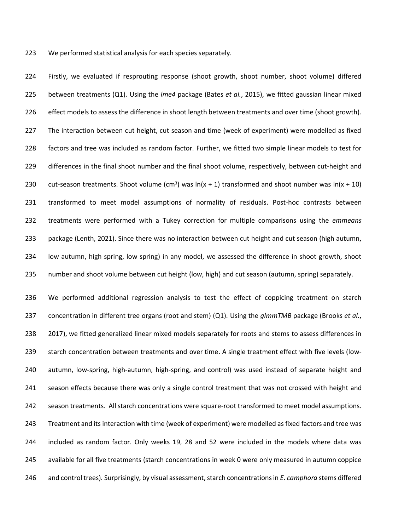We performed statistical analysis for each species separately.

 Firstly, we evaluated if resprouting response (shoot growth, shoot number, shoot volume) differed between treatments (Q1). Using the *lme4* package (Bates *et al.*, 2015), we fitted gaussian linear mixed 226 effect models to assess the difference in shoot length between treatments and over time (shoot growth). The interaction between cut height, cut season and time (week of experiment) were modelled as fixed factors and tree was included as random factor. Further, we fitted two simple linear models to test for differences in the final shoot number and the final shoot volume, respectively, between cut-height and 230 cut-season treatments. Shoot volume (cm<sup>3</sup>) was  $ln(x + 1)$  transformed and shoot number was  $ln(x + 10)$  transformed to meet model assumptions of normality of residuals. Post-hoc contrasts between treatments were performed with a Tukey correction for multiple comparisons using the *emmeans* package (Lenth, 2021). Since there was no interaction between cut height and cut season (high autumn, low autumn, high spring, low spring) in any model, we assessed the difference in shoot growth, shoot number and shoot volume between cut height (low, high) and cut season (autumn, spring) separately.

 We performed additional regression analysis to test the effect of coppicing treatment on starch concentration in different tree organs (root and stem) (Q1). Using the *glmmTMB* package (Brooks *et al.*, 2017), we fitted generalized linear mixed models separately for roots and stems to assess differences in starch concentration between treatments and over time. A single treatment effect with five levels (low- autumn, low-spring, high-autumn, high-spring, and control) was used instead of separate height and 241 season effects because there was only a single control treatment that was not crossed with height and season treatments. All starch concentrations were square-root transformed to meet model assumptions. Treatment and its interaction with time (week of experiment) were modelled as fixed factors and tree was included as random factor. Only weeks 19, 28 and 52 were included in the models where data was available for all five treatments (starch concentrations in week 0 were only measured in autumn coppice and control trees). Surprisingly, by visual assessment, starch concentrations in *E. camphora* stems differed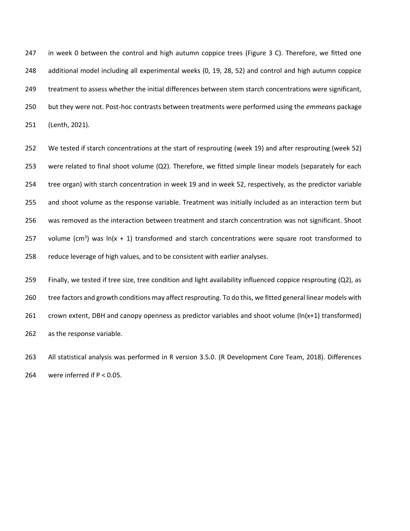in week 0 between the control and high autumn coppice trees [\(Figure 3](#page-14-0) C). Therefore, we fitted one additional model including all experimental weeks (0, 19, 28, 52) and control and high autumn coppice treatment to assess whether the initial differences between stem starch concentrations were significant, but they were not. Post-hoc contrasts between treatments were performed using the *emmeans* package (Lenth, 2021).

 We tested if starch concentrations at the start of resprouting (week 19) and after resprouting (week 52) were related to final shoot volume (Q2). Therefore, we fitted simple linear models (separately for each tree organ) with starch concentration in week 19 and in week 52, respectively, as the predictor variable and shoot volume as the response variable. Treatment was initially included as an interaction term but was removed as the interaction between treatment and starch concentration was not significant. Shoot 257 volume (cm<sup>3</sup>) was ln(x + 1) transformed and starch concentrations were square root transformed to reduce leverage of high values, and to be consistent with earlier analyses.

 Finally, we tested if tree size, tree condition and light availability influenced coppice resprouting (Q2), as tree factors and growth conditions may affect resprouting. To do this, we fitted general linear models with crown extent, DBH and canopy openness as predictor variables and shoot volume (ln(x+1) transformed) as the response variable.

 All statistical analysis was performed in R version 3.5.0. (R Development Core Team, 2018). Differences were inferred if P < 0.05.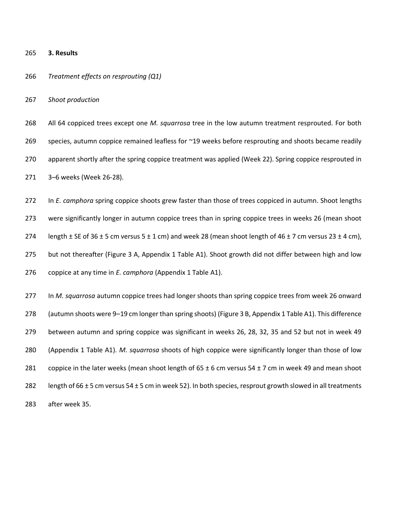### **3. Results**

#### *Treatment effects on resprouting (Q1)*

*Shoot production*

 All 64 coppiced trees except one *M. squarrosa* tree in the low autumn treatment resprouted. For both 269 species, autumn coppice remained leafless for ~19 weeks before resprouting and shoots became readily apparent shortly after the spring coppice treatment was applied (Week 22). Spring coppice resprouted in 3–6 weeks (Week 26-28).

 In *E. camphora* spring coppice shoots grew faster than those of trees coppiced in autumn. Shoot lengths were significantly longer in autumn coppice trees than in spring coppice trees in weeks 26 (mean shoot 274 length  $\pm$  SE of 36  $\pm$  5 cm versus 5  $\pm$  1 cm) and week 28 (mean shoot length of 46  $\pm$  7 cm versus 23  $\pm$  4 cm), but not thereafter [\(Figure 3](#page-14-0) A, Appendix 1 Table A1). Shoot growth did not differ between high and low coppice at any time in *E. camphora* (Appendix 1 Table A1).

 In *M. squarrosa* autumn coppice trees had longer shoots than spring coppice trees from week 26 onward (autumn shoots were 9–19 cm longer than spring shoots) [\(Figure 3](#page-14-0) B, Appendix 1 Table A1). This difference between autumn and spring coppice was significant in weeks 26, 28, 32, 35 and 52 but not in week 49 (Appendix 1 Table A1). *M. squarrosa* shoots of high coppice were significantly longer than those of low 281 coppice in the later weeks (mean shoot length of  $65 \pm 6$  cm versus 54  $\pm$  7 cm in week 49 and mean shoot length of 66 ± 5 cm versus 54 ± 5 cm in week 52). In both species, resprout growth slowed in all treatments after week 35.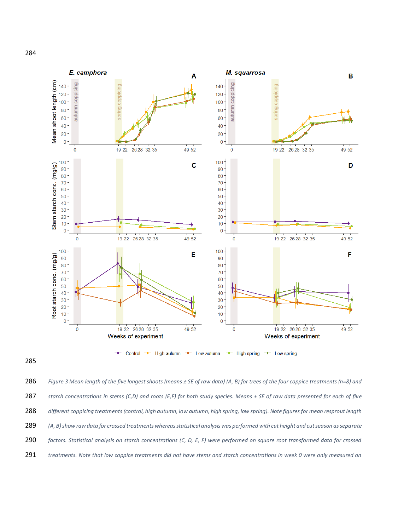

<span id="page-14-0"></span> *Figure 3 Mean length of the five longest shoots (means ± SE of raw data) (A, B) for trees of the four coppice treatments (n=8) and starch concentrations in stems (C,D) and roots (E,F) for both study species. Means ± SE of raw data presented for each of five different coppicing treatments (control, high autumn, low autumn, high spring, low spring). Note figures for mean resprout length (A, B) show raw data for crossed treatments whereas statistical analysis was performed with cut height and cut season as separate factors. Statistical analysis on starch concentrations (C, D, E, F) were performed on square root transformed data for crossed treatments. Note that low coppice treatments did not have stems and starch concentrations in week 0 were only measured on*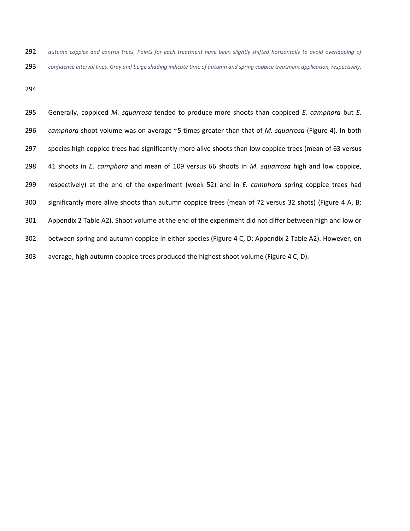*autumn coppice and control trees. Points for each treatment have been slightly shifted horizontally to avoid overlapping of confidence interval lines. Gray and beige shading indicate time of autumn and spring coppice treatment application, respectively.* 

 Generally, coppiced *M. squarrosa* tended to produce more shoots than coppiced *E. camphora* but *E. camphora* shoot volume was on average ~5 times greater than that of *M. squarrosa* [\(Figure 4\)](#page-16-0). In both species high coppice trees had significantly more alive shoots than low coppice trees (mean of 63 versus 41 shoots in *E. camphora* and mean of 109 versus 66 shoots in *M. squarrosa* high and low coppice, respectively) at the end of the experiment (week 52) and in *E. camphora* spring coppice trees had significantly more alive shoots than autumn coppice trees (mean of 72 versus 32 shots) [\(Figure 4](#page-16-0) A, B; Appendix 2 Table A2). Shoot volume at the end of the experiment did not differ between high and low or between spring and autumn coppice in either species [\(Figure 4](#page-16-0) C, D; Appendix 2 Table A2). However, on average, high autumn coppice trees produced the highest shoot volume [\(Figure 4](#page-16-0) C, D).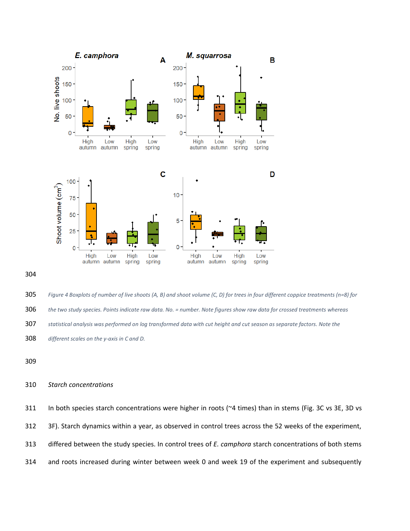

<span id="page-16-0"></span> *Figure 4 Boxplots of number of live shoots (A, B) and shoot volume (C, D) for trees in four different coppice treatments (n=8) for the two study species. Points indicate raw data. No. = number. Note figures show raw data for crossed treatments whereas statistical analysis was performed on log transformed data with cut height and cut season as separate factors. Note the different scales on the y-axis in C and D.*

#### *Starch concentrations*

311 In both species starch concentrations were higher in roots (~4 times) than in stems (Fig. 3C vs 3E, 3D vs 3F). Starch dynamics within a year, as observed in control trees across the 52 weeks of the experiment, differed between the study species. In control trees of *E. camphora* starch concentrations of both stems and roots increased during winter between week 0 and week 19 of the experiment and subsequently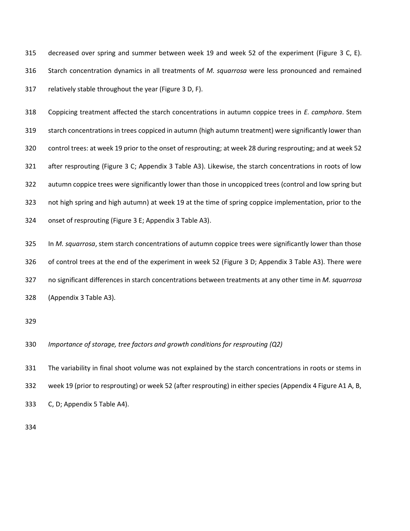decreased over spring and summer between week 19 and week 52 of the experiment [\(Figure 3](#page-14-0) C, E). Starch concentration dynamics in all treatments of *M. squarrosa* were less pronounced and remained relatively stable throughout the year [\(Figure 3](#page-14-0) D, F).

 Coppicing treatment affected the starch concentrations in autumn coppice trees in *E. camphora*. Stem starch concentrations in trees coppiced in autumn (high autumn treatment) were significantly lower than control trees: at week 19 prior to the onset of resprouting; at week 28 during resprouting; and at week 52 after resprouting [\(Figure 3](#page-14-0) C; Appendix 3 Table A3). Likewise, the starch concentrations in roots of low autumn coppice trees were significantly lower than those in uncoppiced trees (control and low spring but not high spring and high autumn) at week 19 at the time of spring coppice implementation, prior to the onset of resprouting [\(Figure 3](#page-14-0) E; Appendix 3 Table A3).

 In *M. squarrosa*, stem starch concentrations of autumn coppice trees were significantly lower than those of control trees at the end of the experiment in week 52 [\(Figure 3](#page-14-0) D; Appendix 3 Table A3). There were no significant differences in starch concentrations between treatments at any other time in *M. squarrosa*  (Appendix 3 Table A3).

*Importance of storage, tree factors and growth conditions for resprouting (Q2)*

 The variability in final shoot volume was not explained by the starch concentrations in roots or stems in week 19 (prior to resprouting) or week 52 (after resprouting) in either species (Appendix 4 Figure A1 A, B, C, D; Appendix 5 Table A4).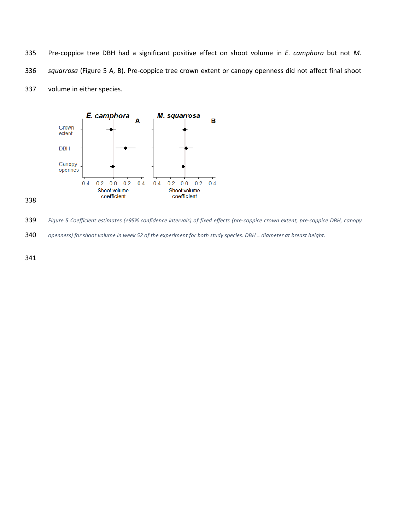Pre-coppice tree DBH had a significant positive effect on shoot volume in *E. camphora* but not *M. squarrosa* [\(Figure 5](#page-18-0) A, B). Pre-coppice tree crown extent or canopy openness did not affect final shoot volume in either species.



<span id="page-18-0"></span>*Figure 5 Coefficient estimates (±95% confidence intervals) of fixed effects (pre-coppice crown extent, pre-coppice DBH, canopy* 

*openness) for shoot volume in week 52 of the experiment for both study species. DBH = diameter at breast height.*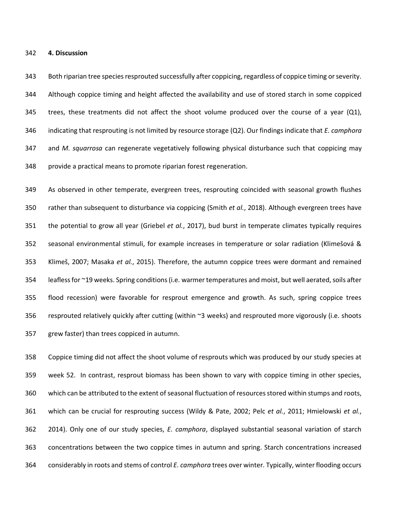### **4. Discussion**

343 Both riparian tree species resprouted successfully after coppicing, regardless of coppice timing or severity. Although coppice timing and height affected the availability and use of stored starch in some coppiced 345 trees, these treatments did not affect the shoot volume produced over the course of a year  $(Q1)$ , indicating that resprouting is not limited by resource storage (Q2). Our findings indicate that *E. camphora* and *M. squarrosa* can regenerate vegetatively following physical disturbance such that coppicing may provide a practical means to promote riparian forest regeneration.

 As observed in other temperate, evergreen trees, resprouting coincided with seasonal growth flushes rather than subsequent to disturbance via coppicing (Smith *et al.*, 2018). Although evergreen trees have the potential to grow all year (Griebel *et al.*, 2017), bud burst in temperate climates typically requires seasonal environmental stimuli, for example increases in temperature or solar radiation (Klimešová & Klimeš, 2007; Masaka *et al.*, 2015). Therefore, the autumn coppice trees were dormant and remained 354 leafless for ~19 weeks. Spring conditions (i.e. warmer temperatures and moist, but well aerated, soils after flood recession) were favorable for resprout emergence and growth. As such, spring coppice trees resprouted relatively quickly after cutting (within ~3 weeks) and resprouted more vigorously (i.e. shoots grew faster) than trees coppiced in autumn.

 Coppice timing did not affect the shoot volume of resprouts which was produced by our study species at week 52. In contrast, resprout biomass has been shown to vary with coppice timing in other species, which can be attributed to the extent of seasonal fluctuation of resources stored within stumps and roots, which can be crucial for resprouting success (Wildy & Pate, 2002; Pelc *et al.*, 2011; Hmielowski *et al.*, 2014). Only one of our study species, *E. camphora*, displayed substantial seasonal variation of starch concentrations between the two coppice times in autumn and spring. Starch concentrations increased considerably in roots and stems of control *E. camphora* trees over winter. Typically, winter flooding occurs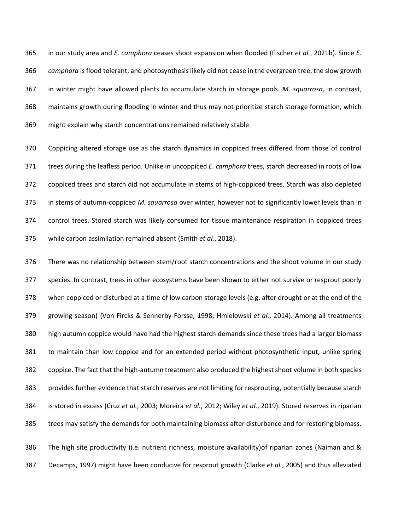in our study area and *E. camphora* ceases shoot expansion when flooded (Fischer *et al.*, 2021b). Since *E. camphora* is flood tolerant, and photosynthesis likely did not cease in the evergreen tree, the slow growth in winter might have allowed plants to accumulate starch in storage pools. *M. squarrosa,* in contrast, maintains growth during flooding in winter and thus may not prioritize starch storage formation, which might explain why starch concentrations remained relatively stable.

 Coppicing altered storage use as the starch dynamics in coppiced trees differed from those of control trees during the leafless period. Unlike in uncoppiced *E. camphora* trees, starch decreased in roots of low coppiced trees and starch did not accumulate in stems of high-coppiced trees. Starch was also depleted in stems of autumn-coppiced *M. squarrosa* over winter, however not to significantly lower levels than in control trees. Stored starch was likely consumed for tissue maintenance respiration in coppiced trees while carbon assimilation remained absent (Smith *et al.*, 2018).

 There was no relationship between stem/root starch concentrations and the shoot volume in our study species. In contrast, trees in other ecosystems have been shown to either not survive or resprout poorly when coppiced or disturbed at a time of low carbon storage levels (e.g. after drought or at the end of the growing season) (Von Fircks & Sennerby-Forsse, 1998; Hmielowski *et al.*, 2014). Among all treatments high autumn coppice would have had the highest starch demands since these trees had a larger biomass to maintain than low coppice and for an extended period without photosynthetic input, unlike spring coppice. The fact that the high-autumn treatment also produced the highest shoot volume in both species provides further evidence that starch reserves are not limiting for resprouting, potentially because starch is stored in excess (Cruz *et al.*, 2003; Moreira *et al.*, 2012; Wiley *et al.*, 2019). Stored reserves in riparian trees may satisfy the demands for both maintaining biomass after disturbance and for restoring biomass. The high site productivity (i.e. nutrient richness, moisture availability)of riparian zones (Naiman and &

Decamps, 1997) might have been conducive for resprout growth (Clarke *et al.*, 2005) and thus alleviated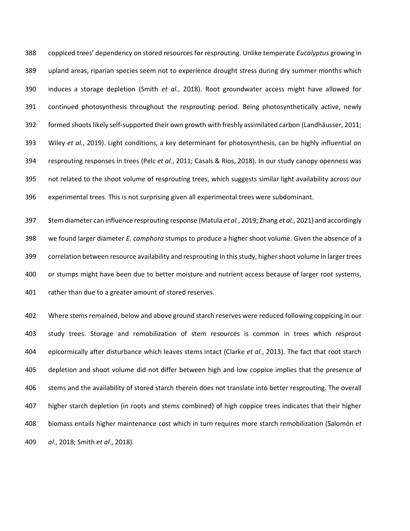coppiced trees' dependency on stored resources for resprouting. Unlike temperate *Eucalyptus* growing in upland areas, riparian species seem not to experience drought stress during dry summer months which induces a storage depletion (Smith *et al.*, 2018). Root groundwater access might have allowed for continued photosynthesis throughout the resprouting period. Being photosynthetically active, newly formed shoots likely self-supported their own growth with freshly assimilated carbon (Landhäusser, 2011; Wiley *et al.*, 2019). Light conditions, a key determinant for photosynthesis, can be highly influential on resprouting responses in trees (Pelc *et al.*, 2011; Casals & Rios, 2018). In our study canopy openness was not related to the shoot volume of resprouting trees, which suggests similar light availability across our experimental trees. This is not surprising given all experimental trees were subdominant.

 Stem diameter can influence resprouting response (Matula *et al.*, 2019; Zhang *et al.*, 2021) and accordingly we found larger diameter *E. camphora* stumps to produce a higher shoot volume. Given the absence of a correlation between resource availability and resprouting in this study, higher shoot volume in larger trees or stumps might have been due to better moisture and nutrient access because of larger root systems, rather than due to a greater amount of stored reserves.

 Where stems remained, below and above ground starch reserves were reduced following coppicing in our study trees. Storage and remobilization of stem resources is common in trees which resprout epicormically after disturbance which leaves stems intact (Clarke *et al.*, 2013). The fact that root starch depletion and shoot volume did not differ between high and low coppice implies that the presence of stems and the availability of stored starch therein does not translate into better resprouting. The overall higher starch depletion (in roots and stems combined) of high coppice trees indicates that their higher biomass entails higher maintenance cost which in turn requires more starch remobilization (Salomón *et al.*, 2018; Smith *et al.*, 2018).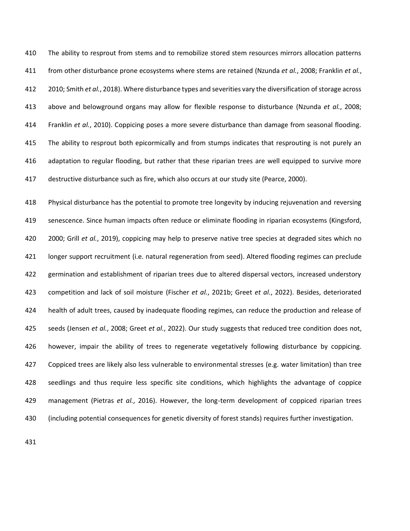The ability to resprout from stems and to remobilize stored stem resources mirrors allocation patterns from other disturbance prone ecosystems where stems are retained (Nzunda *et al.*, 2008; Franklin *et al.*, 2010; Smith *et al.*, 2018). Where disturbance types and severities vary the diversification of storage across above and belowground organs may allow for flexible response to disturbance (Nzunda *et al.*, 2008; Franklin *et al.*, 2010). Coppicing poses a more severe disturbance than damage from seasonal flooding. The ability to resprout both epicormically and from stumps indicates that resprouting is not purely an adaptation to regular flooding, but rather that these riparian trees are well equipped to survive more destructive disturbance such as fire, which also occurs at our study site (Pearce, 2000).

 Physical disturbance has the potential to promote tree longevity by inducing rejuvenation and reversing senescence. Since human impacts often reduce or eliminate flooding in riparian ecosystems (Kingsford, 2000; Grill *et al.*, 2019), coppicing may help to preserve native tree species at degraded sites which no longer support recruitment (i.e. natural regeneration from seed). Altered flooding regimes can preclude germination and establishment of riparian trees due to altered dispersal vectors, increased understory competition and lack of soil moisture (Fischer *et al.*, 2021b; Greet *et al.*, 2022). Besides, deteriorated health of adult trees, caused by inadequate flooding regimes, can reduce the production and release of seeds (Jensen *et al.*, 2008; Greet *et al.*, 2022). Our study suggests that reduced tree condition does not, however, impair the ability of trees to regenerate vegetatively following disturbance by coppicing. Coppiced trees are likely also less vulnerable to environmental stresses (e.g. water limitation) than tree seedlings and thus require less specific site conditions, which highlights the advantage of coppice management (Pietras *et al.*, 2016). However, the long-term development of coppiced riparian trees (including potential consequences for genetic diversity of forest stands) requires further investigation.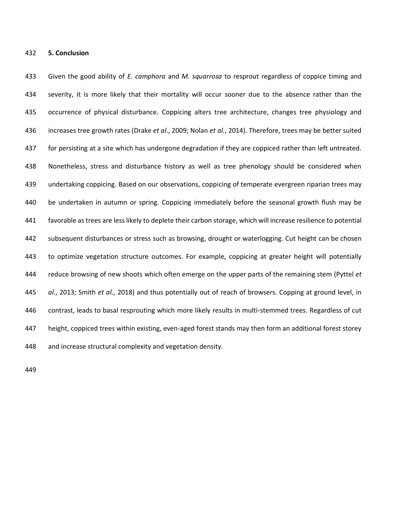Given the good ability of *E. camphora* and *M. squarrosa* to resprout regardless of coppice timing and severity, it is more likely that their mortality will occur sooner due to the absence rather than the occurrence of physical disturbance. Coppicing alters tree architecture, changes tree physiology and increases tree growth rates (Drake *et al.*, 2009; Nolan *et al.*, 2014). Therefore, trees may be better suited for persisting at a site which has undergone degradation if they are coppiced rather than left untreated. Nonetheless, stress and disturbance history as well as tree phenology should be considered when undertaking coppicing. Based on our observations, coppicing of temperate evergreen riparian trees may be undertaken in autumn or spring. Coppicing immediately before the seasonal growth flush may be favorable as trees are less likely to deplete their carbon storage, which will increase resilience to potential subsequent disturbances or stress such as browsing, drought or waterlogging. Cut height can be chosen to optimize vegetation structure outcomes. For example, coppicing at greater height will potentially reduce browsing of new shoots which often emerge on the upper parts of the remaining stem (Pyttel *et al.*, 2013; Smith *et al.*, 2018) and thus potentially out of reach of browsers. Copping at ground level, in contrast, leads to basal resprouting which more likely results in multi-stemmed trees. Regardless of cut height, coppiced trees within existing, even-aged forest stands may then form an additional forest storey and increase structural complexity and vegetation density.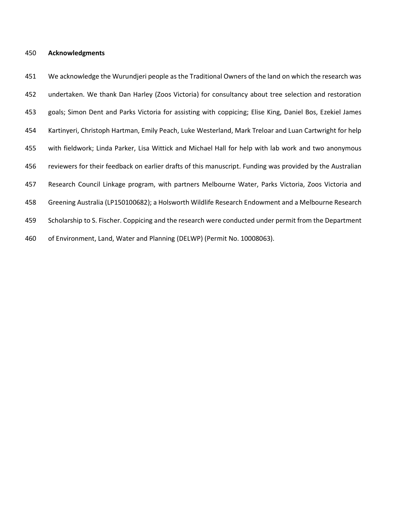### **Acknowledgments**

 We acknowledge the Wurundjeri people as the Traditional Owners of the land on which the research was undertaken. We thank Dan Harley (Zoos Victoria) for consultancy about tree selection and restoration goals; Simon Dent and Parks Victoria for assisting with coppicing; Elise King, Daniel Bos, Ezekiel James Kartinyeri, Christoph Hartman, Emily Peach, Luke Westerland, Mark Treloar and Luan Cartwright for help with fieldwork; Linda Parker, Lisa Wittick and Michael Hall for help with lab work and two anonymous reviewers for their feedback on earlier drafts of this manuscript. Funding was provided by the Australian Research Council Linkage program, with partners Melbourne Water, Parks Victoria, Zoos Victoria and Greening Australia (LP150100682); a Holsworth Wildlife Research Endowment and a Melbourne Research 459 Scholarship to S. Fischer. Coppicing and the research were conducted under permit from the Department of Environment, Land, Water and Planning (DELWP) (Permit No. 10008063).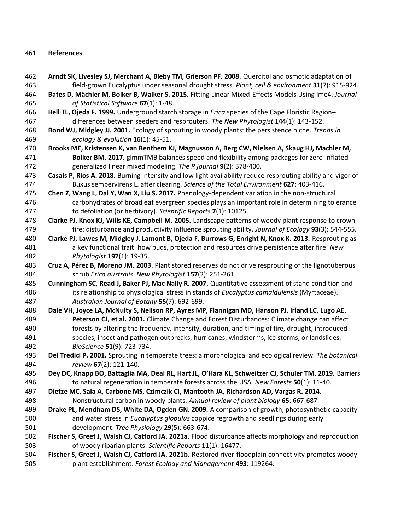# **References**

 **Arndt SK, Livesley SJ, Merchant A, Bleby TM, Grierson PF. 2008.** Quercitol and osmotic adaptation of field‐grown Eucalyptus under seasonal drought stress. *Plant, cell & environment* **31**(7): 915-924. **Bates D, Mächler M, Bolker B, Walker S. 2015.** Fitting Linear Mixed-Effects Models Using lme4. *Journal of Statistical Software* **67**(1): 1-48. **Bell TL, Ojeda F. 1999.** Underground starch storage in *Erica* species of the Cape Floristic Region– differences between seeders and resprouters. *The New Phytologist* **144**(1): 143-152. **Bond WJ, Midgley JJ. 2001.** Ecology of sprouting in woody plants: the persistence niche. *Trends in ecology & evolution* **16**(1): 45-51. **Brooks ME, Kristensen K, van Benthem KJ, Magnusson A, Berg CW, Nielsen A, Skaug HJ, Machler M, Bolker BM. 2017.** glmmTMB balances speed and flexibility among packages for zero-inflated generalized linear mixed modeling. *The R journal* **9**(2): 378-400. **Casals P, Rios A. 2018.** Burning intensity and low light availability reduce resprouting ability and vigor of Buxus sempervirens L. after clearing. *Science of the Total Environment* **627**: 403-416. **Chen Z, Wang L, Dai Y, Wan X, Liu S. 2017.** Phenology-dependent variation in the non-structural carbohydrates of broadleaf evergreen species plays an important role in determining tolerance to defoliation (or herbivory). *Scientific Reports* **7**(1): 10125. **Clarke PJ, Knox KJ, Wills KE, Campbell M. 2005.** Landscape patterns of woody plant response to crown fire: disturbance and productivity influence sprouting ability. *Journal of Ecology* **93**(3): 544-555. **Clarke PJ, Lawes M, Midgley J, Lamont B, Ojeda F, Burrows G, Enright N, Knox K. 2013.** Resprouting as a key functional trait: how buds, protection and resources drive persistence after fire. *New Phytologist* **197**(1): 19-35. **Cruz A, Pérez B, Moreno JM. 2003.** Plant stored reserves do not drive resprouting of the lignotuberous shrub *Erica australis*. *New Phytologist* **157**(2): 251-261. **Cunningham SC, Read J, Baker PJ, Mac Nally R. 2007.** Quantitative assessment of stand condition and its relationship to physiological stress in stands of *Eucalyptus camaldulensis* (Myrtaceae). *Australian Journal of Botany* **55**(7): 692-699. **Dale VH, Joyce LA, McNulty S, Neilson RP, Ayres MP, Flannigan MD, Hanson PJ, Irland LC, Lugo AE, Peterson CJ, et al. 2001.** Climate Change and Forest Disturbances: Climate change can affect forests by altering the frequency, intensity, duration, and timing of fire, drought, introduced species, insect and pathogen outbreaks, hurricanes, windstorms, ice storms, or landslides. *BioScience* **51**(9): 723-734. **Del Tredici P. 2001.** Sprouting in temperate trees: a morphological and ecological review. *The botanical review* **67**(2): 121-140. **Dey DC, Knapp BO, Battaglia MA, Deal RL, Hart JL, O'Hara KL, Schweitzer CJ, Schuler TM. 2019.** Barriers to natural regeneration in temperate forests across the USA. *New Forests* **50**(1): 11-40. **Dietze MC, Sala A, Carbone MS, Czimczik CI, Mantooth JA, Richardson AD, Vargas R. 2014.** Nonstructural carbon in woody plants. *Annual review of plant biology* **65**: 667-687. **Drake PL, Mendham DS, White DA, Ogden GN. 2009.** A comparison of growth, photosynthetic capacity and water stress in *Eucalyptus globulus* coppice regrowth and seedlings during early development. *Tree Physiology* **29**(5): 663-674. **Fischer S, Greet J, Walsh CJ, Catford JA. 2021a.** Flood disturbance affects morphology and reproduction of woody riparian plants. *Scientific Reports* **11**(1): 16477. **Fischer S, Greet J, Walsh CJ, Catford JA. 2021b.** Restored river-floodplain connectivity promotes woody plant establishment. *Forest Ecology and Management* **493**: 119264.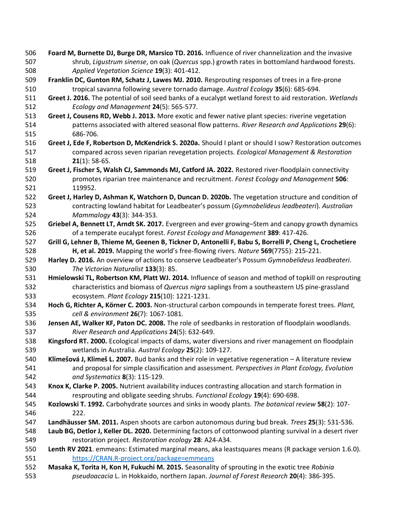**Foard M, Burnette DJ, Burge DR, Marsico TD. 2016.** Influence of river channelization and the invasive shrub, *Ligustrum sinense*, on oak (*Quercus* spp.) growth rates in bottomland hardwood forests. *Applied Vegetation Science* **19**(3): 401-412. **Franklin DC, Gunton RM, Schatz J, Lawes MJ. 2010.** Resprouting responses of trees in a fire‐prone tropical savanna following severe tornado damage. *Austral Ecology* **35**(6): 685-694. **Greet J. 2016.** The potential of soil seed banks of a eucalypt wetland forest to aid restoration. *Wetlands Ecology and Management* **24**(5): 565-577. **Greet J, Cousens RD, Webb J. 2013.** More exotic and fewer native plant species: riverine vegetation patterns associated with altered seasonal flow patterns. *River Research and Applications* **29**(6): 686-706. **Greet J, Ede F, Robertson D, McKendrick S. 2020a.** Should I plant or should I sow? Restoration outcomes compared across seven riparian revegetation projects. *Ecological Management & Restoration* **21**(1): 58-65. **Greet J, Fischer S, Walsh CJ, Sammonds MJ, Catford JA. 2022.** Restored river-floodplain connectivity promotes riparian tree maintenance and recruitment. *Forest Ecology and Management* **506**: 119952. **Greet J, Harley D, Ashman K, Watchorn D, Duncan D. 2020b.** The vegetation structure and condition of contracting lowland habitat for Leadbeater's possum (*Gymnobelideus leadbeateri*). *Australian Mammalogy* **43**(3): 344-353. **Griebel A, Bennett LT, Arndt SK. 2017.** Evergreen and ever growing–Stem and canopy growth dynamics of a temperate eucalypt forest. *Forest Ecology and Management* **389**: 417-426. **Grill G, Lehner B, Thieme M, Geenen B, Tickner D, Antonelli F, Babu S, Borrelli P, Cheng L, Crochetiere H, et al. 2019.** Mapping the world's free-flowing rivers. *Nature* **569**(7755): 215-221. **Harley D. 2016.** An overview of actions to conserve Leadbeater's Possum *Gymnobelideus leadbeateri*. *The Victorian Naturalist* **133**(3): 85. **Hmielowski TL, Robertson KM, Platt WJ. 2014.** Influence of season and method of topkill on resprouting characteristics and biomass of *Quercus nigra* saplings from a southeastern US pine-grassland ecosystem. *Plant Ecology* **215**(10): 1221-1231. **Hoch G, Richter A, Körner C. 2003.** Non‐structural carbon compounds in temperate forest trees. *Plant, cell & environment* **26**(7): 1067-1081. **Jensen AE, Walker KF, Paton DC. 2008.** The role of seedbanks in restoration of floodplain woodlands. *River Research and Applications* **24**(5): 632-649. **Kingsford RT. 2000.** Ecological impacts of dams, water diversions and river management on floodplain wetlands in Australia. *Austral Ecology* **25**(2): 109-127. **Klimešová J, Klimeš L. 2007.** Bud banks and their role in vegetative regeneration – A literature review and proposal for simple classification and assessment. *Perspectives in Plant Ecology, Evolution and Systematics* **8**(3): 115-129. **Knox K, Clarke P. 2005.** Nutrient availability induces contrasting allocation and starch formation in resprouting and obligate seeding shrubs. *Functional Ecology* **19**(4): 690-698. **Kozlowski T. 1992.** Carbohydrate sources and sinks in woody plants. *The botanical review* **58**(2): 107- 222. **Landhäusser SM. 2011.** Aspen shoots are carbon autonomous during bud break. *Trees* **25**(3): 531-536. **Laub BG, Detlor J, Keller DL. 2020.** Determining factors of cottonwood planting survival in a desert river restoration project. *Restoration ecology* **28**: A24-A34. **Lenth RV 2021**. emmeans: Estimated marginal means, aka leastsquares means (R package version 1.6.0). [https://CRAN.R-project.org/package=emmeans](https://cran.r-project.org/package=emmeans) **Masaka K, Torita H, Kon H, Fukuchi M. 2015.** Seasonality of sprouting in the exotic tree *Robinia pseudoacacia* L. in Hokkaido, northern Japan. *Journal of Forest Research* **20**(4): 386-395.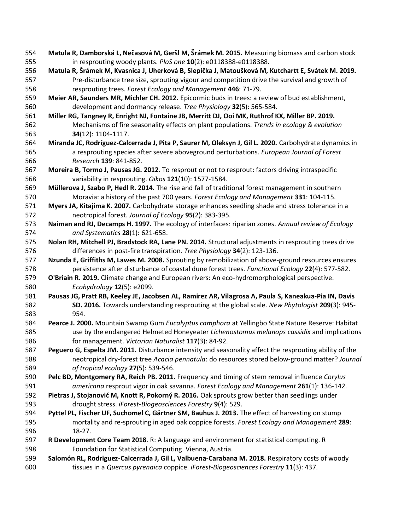**Matula R, Damborská L, Nečasová M, Geršl M, Šrámek M. 2015.** Measuring biomass and carbon stock in resprouting woody plants. *PloS one* **10**(2): e0118388-e0118388. **Matula R, Šrámek M, Kvasnica J, Uherková B, Slepička J, Matoušková M, Kutchartt E, Svátek M. 2019.** Pre-disturbance tree size, sprouting vigour and competition drive the survival and growth of resprouting trees. *Forest Ecology and Management* **446**: 71-79. **Meier AR, Saunders MR, Michler CH. 2012.** Epicormic buds in trees: a review of bud establishment, development and dormancy release. *Tree Physiology* **32**(5): 565-584. **Miller RG, Tangney R, Enright NJ, Fontaine JB, Merritt DJ, Ooi MK, Ruthrof KX, Miller BP. 2019.** Mechanisms of fire seasonality effects on plant populations. *Trends in ecology & evolution* **34**(12): 1104-1117. **Miranda JC, Rodríguez-Calcerrada J, Pita P, Saurer M, Oleksyn J, Gil L. 2020.** Carbohydrate dynamics in a resprouting species after severe aboveground perturbations. *European Journal of Forest Research* **139**: 841-852. **Moreira B, Tormo J, Pausas JG. 2012.** To resprout or not to resprout: factors driving intraspecific variability in resprouting. *Oikos* **121**(10): 1577-1584. **Müllerova J, Szabo P, Hedl R. 2014.** The rise and fall of traditional forest management in southern Moravia: a history of the past 700 years. *Forest Ecology and Management* **331**: 104-115. **Myers JA, Kitajima K. 2007.** Carbohydrate storage enhances seedling shade and stress tolerance in a neotropical forest. *Journal of Ecology* **95**(2): 383-395. **Naiman and RJ, Decamps H. 1997.** The ecology of interfaces: riparian zones. *Annual review of Ecology and Systematics* **28**(1): 621-658. **Nolan RH, Mitchell PJ, Bradstock RA, Lane PN. 2014.** Structural adjustments in resprouting trees drive differences in post-fire transpiration. *Tree Physiology* **34**(2): 123-136. **Nzunda E, Griffiths M, Lawes M. 2008.** Sprouting by remobilization of above‐ground resources ensures persistence after disturbance of coastal dune forest trees. *Functional Ecology* **22**(4): 577-582. **O'Briain R. 2019.** Climate change and European rivers: An eco-hydromorphological perspective. *Ecohydrology* **12**(5): e2099. **Pausas JG, Pratt RB, Keeley JE, Jacobsen AL, Ramirez AR, Vilagrosa A, Paula S, Kaneakua‐Pia IN, Davis SD. 2016.** Towards understanding resprouting at the global scale. *New Phytologist* **209**(3): 945- 954. **Pearce J. 2000.** Mountain Swamp Gum *Eucalyptus camphora* at Yellingbo State Nature Reserve: Habitat use by the endangered Helmeted Honeyeater *Lichenostomus melanops cassidix* and implications for management. *Victorian Naturalist* **117**(3): 84-92. **Peguero G, Espelta JM. 2011.** Disturbance intensity and seasonality affect the resprouting ability of the neotropical dry-forest tree *Acacia pennatula*: do resources stored below-ground matter? *Journal of tropical ecology* **27**(5): 539-546. **Pelc BD, Montgomery RA, Reich PB. 2011.** Frequency and timing of stem removal influence *Corylus americana* resprout vigor in oak savanna. *Forest Ecology and Management* **261**(1): 136-142. **Pietras J, Stojanović M, Knott R, Pokorný R. 2016.** Oak sprouts grow better than seedlings under drought stress. *iForest-Biogeosciences Forestry* **9**(4): 529. **Pyttel PL, Fischer UF, Suchomel C, Gärtner SM, Bauhus J. 2013.** The effect of harvesting on stump mortality and re-sprouting in aged oak coppice forests. *Forest Ecology and Management* **289**: 18-27. **R Development Core Team 2018**. R: A language and environment for statistical computing. R Foundation for Statistical Computing. Vienna, Austria. **Salomón RL, Rodriguez-Calcerrada J, Gil L, Valbuena-Carabana M. 2018.** Respiratory costs of woody tissues in a *Quercus pyrenaica* coppice. *iForest-Biogeosciences Forestry* **11**(3): 437.